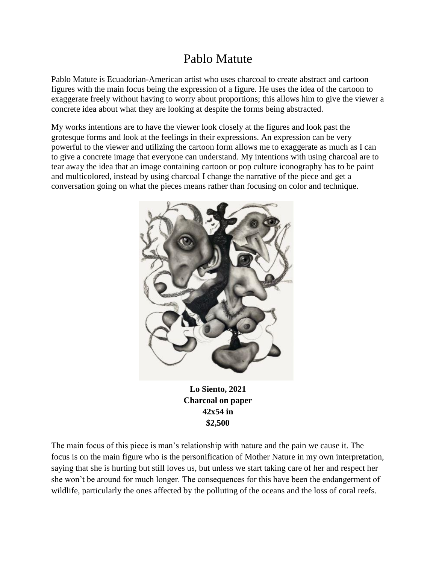## Pablo Matute

Pablo Matute is Ecuadorian-American artist who uses charcoal to create abstract and cartoon figures with the main focus being the expression of a figure. He uses the idea of the cartoon to exaggerate freely without having to worry about proportions; this allows him to give the viewer a concrete idea about what they are looking at despite the forms being abstracted.

My works intentions are to have the viewer look closely at the figures and look past the grotesque forms and look at the feelings in their expressions. An expression can be very powerful to the viewer and utilizing the cartoon form allows me to exaggerate as much as I can to give a concrete image that everyone can understand. My intentions with using charcoal are to tear away the idea that an image containing cartoon or pop culture iconography has to be paint and multicolored, instead by using charcoal I change the narrative of the piece and get a conversation going on what the pieces means rather than focusing on color and technique.



**Lo Siento, 2021 Charcoal on paper 42x54 in \$2,500**

The main focus of this piece is man's relationship with nature and the pain we cause it. The focus is on the main figure who is the personification of Mother Nature in my own interpretation, saying that she is hurting but still loves us, but unless we start taking care of her and respect her she won't be around for much longer. The consequences for this have been the endangerment of wildlife, particularly the ones affected by the polluting of the oceans and the loss of coral reefs.